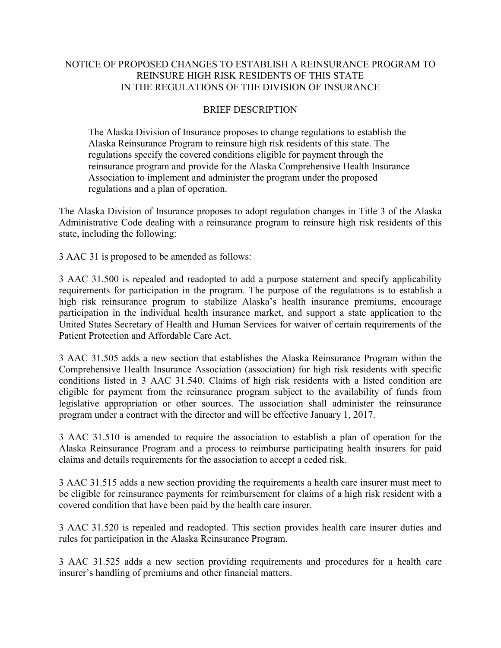## NOTICE OF PROPOSED CHANGES TO ESTABLISH A REINSURANCE PROGRAM TO REINSURE HIGH RISK RESIDENTS OF THIS STATE IN THE REGULATIONS OF THE DIVISION OF INSURANCE

## BRIEF DESCRIPTION

The Alaska Division of Insurance proposes to change regulations to establish the Alaska Reinsurance Program to reinsure high risk residents of this state. The regulations specify the covered conditions eligible for payment through the reinsurance program and provide for the Alaska Comprehensive Health Insurance Association to implement and administer the program under the proposed regulations and a plan of operation.

The Alaska Division of Insurance proposes to adopt regulation changes in Title 3 of the Alaska Administrative Code dealing with a reinsurance program to reinsure high risk residents of this state, including the following:

3 AAC 31 is proposed to be amended as follows:

3 AAC 31.500 is repealed and readopted to add a purpose statement and specify applicability requirements for participation in the program. The purpose of the regulations is to establish a high risk reinsurance program to stabilize Alaska's health insurance premiums, encourage participation in the individual health insurance market, and support a state application to the United States Secretary of Health and Human Services for waiver of certain requirements of the Patient Protection and Affordable Care Act.

3 AAC 31.505 adds a new section that establishes the Alaska Reinsurance Program within the Comprehensive Health Insurance Association (association) for high risk residents with specific conditions listed in 3 AAC 31.540. Claims of high risk residents with a listed condition are eligible for payment from the reinsurance program subject to the availability of funds from legislative appropriation or other sources. The association shall administer the reinsurance program under a contract with the director and will be effective January 1, 2017.

3 AAC 31.510 is amended to require the association to establish a plan of operation for the Alaska Reinsurance Program and a process to reimburse participating health insurers for paid claims and details requirements for the association to accept a ceded risk.

3 AAC 31.515 adds a new section providing the requirements a health care insurer must meet to be eligible for reinsurance payments for reimbursement for claims of a high risk resident with a covered condition that have been paid by the health care insurer.

3 AAC 31.520 is repealed and readopted. This section provides health care insurer duties and rules for participation in the Alaska Reinsurance Program.

3 AAC 31.525 adds a new section providing requirements and procedures for a health care insurer's handling of premiums and other financial matters.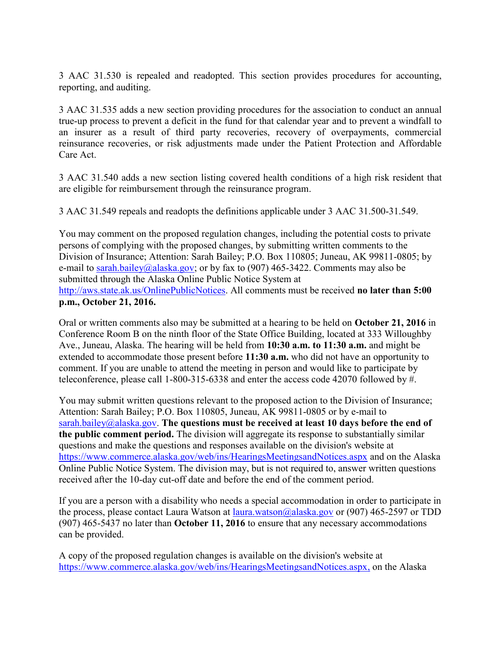3 AAC 31.530 is repealed and readopted. This section provides procedures for accounting, reporting, and auditing.

3 AAC 31.535 adds a new section providing procedures for the association to conduct an annual true-up process to prevent a deficit in the fund for that calendar year and to prevent a windfall to an insurer as a result of third party recoveries, recovery of overpayments, commercial reinsurance recoveries, or risk adjustments made under the Patient Protection and Affordable Care Act.

3 AAC 31.540 adds a new section listing covered health conditions of a high risk resident that are eligible for reimbursement through the reinsurance program.

3 AAC 31.549 repeals and readopts the definitions applicable under 3 AAC 31.500-31.549.

You may comment on the proposed regulation changes, including the potential costs to private persons of complying with the proposed changes, by submitting written comments to the Division of Insurance; Attention: Sarah Bailey; P.O. Box 110805; Juneau, AK 99811-0805; by e-mail to sarah.bailey@alaska.gov; or by fax to (907) 465-3422. Comments may also be submitted through the Alaska Online Public Notice System at http://aws.state.ak.us/OnlinePublicNotices. All comments must be received **no later than 5:00 p.m., October 21, 2016.**

Oral or written comments also may be submitted at a hearing to be held on **October 21, 2016** in Conference Room B on the ninth floor of the State Office Building, located at 333 Willoughby Ave., Juneau, Alaska. The hearing will be held from **10:30 a.m. to 11:30 a.m.** and might be extended to accommodate those present before **11:30 a.m.** who did not have an opportunity to comment. If you are unable to attend the meeting in person and would like to participate by teleconference, please call 1-800-315-6338 and enter the access code 42070 followed by #.

You may submit written questions relevant to the proposed action to the Division of Insurance; Attention: Sarah Bailey; P.O. Box 110805, Juneau, AK 99811-0805 or by e-mail to sarah.bailey@alaska.gov. **The questions must be received at least 10 days before the end of the public comment period.** The division will aggregate its response to substantially similar questions and make the questions and responses available on the division's website at https://www.commerce.alaska.gov/web/ins/HearingsMeetingsandNotices.aspx and on the Alaska Online Public Notice System. The division may, but is not required to, answer written questions received after the 10-day cut-off date and before the end of the comment period.

If you are a person with a disability who needs a special accommodation in order to participate in the process, please contact Laura Watson at laura.watson@alaska.gov or (907) 465-2597 or TDD (907) 465-5437 no later than **October 11, 2016** to ensure that any necessary accommodations can be provided.

A copy of the proposed regulation changes is available on the division's website at https://www.commerce.alaska.gov/web/ins/HearingsMeetingsandNotices.aspx, on the Alaska